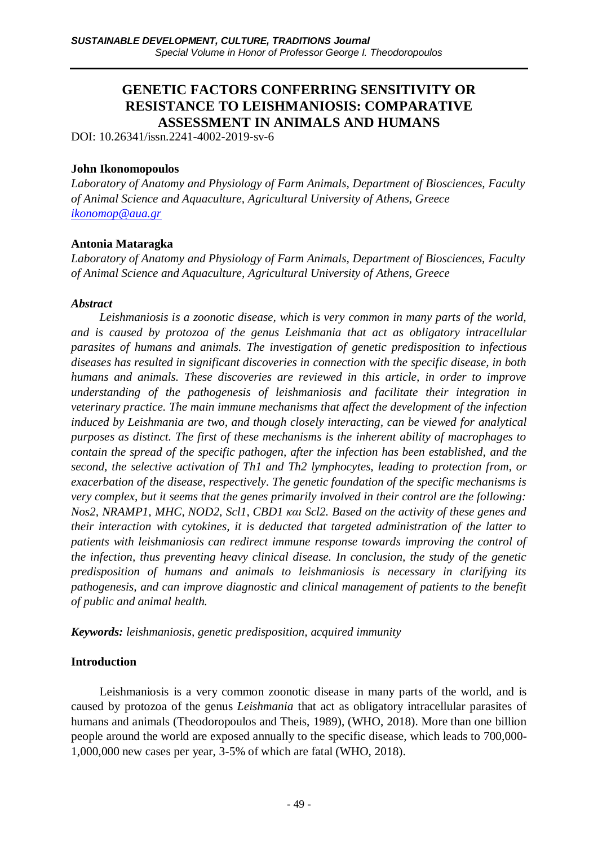# **GENETIC FACTORS CONFERRING SENSITIVITY OR RESISTANCE TO LEISHMANIOSIS: COMPARATIVE ASSESSMENT IN ANIMALS AND HUMANS**

DOI: 10.26341/issn.2241-4002-2019-sv-6

#### **John Ikonomopoulos**

*Laboratory of Anatomy and Physiology of Farm Animals, Department of Biosciences, Faculty of Animal Science and Aquaculture, Agricultural University of Athens, Greece ikonomop@aua.gr*

### **Antonia Mataragka**

*Laboratory of Anatomy and Physiology of Farm Animals, Department of Biosciences, Faculty of Animal Science and Aquaculture, Agricultural University of Athens, Greece*

#### *Abstract*

*Leishmaniosis is a zoonotic disease, which is very common in many parts of the world, and is caused by protozoa of the genus Leishmania that act as obligatory intracellular parasites of humans and animals. The investigation of genetic predisposition to infectious diseases has resulted in significant discoveries in connection with the specific disease, in both humans and animals. These discoveries are reviewed in this article, in order to improve understanding of the pathogenesis of leishmaniosis and facilitate their integration in veterinary practice. The main immune mechanisms that affect the development of the infection induced by Leishmania are two, and though closely interacting, can be viewed for analytical purposes as distinct. The first of these mechanisms is the inherent ability of macrophages to contain the spread of the specific pathogen, after the infection has been established, and the second, the selective activation of Th1 and Th2 lymphocytes, leading to protection from, or exacerbation of the disease, respectively. The genetic foundation of the specific mechanisms is very complex, but it seems that the genes primarily involved in their control are the following: Nos2, NRAMP1, MHC, NOD2, Scl1, CBD1 και Scl2. Based on the activity of these genes and their interaction with cytokines, it is deducted that targeted administration of the latter to patients with leishmaniosis can redirect immune response towards improving the control of the infection, thus preventing heavy clinical disease. In conclusion, the study of the genetic predisposition of humans and animals to leishmaniosis is necessary in clarifying its pathogenesis, and can improve diagnostic and clinical management of patients to the benefit of public and animal health.* 

*Keywords: leishmaniosis, genetic predisposition, acquired immunity* 

### **Introduction**

Leishmaniosis is a very common zoonotic disease in many parts of the world, and is caused by protozoa of the genus *Leishmania* that act as obligatory intracellular parasites of humans and animals (Theodoropoulos and Theis, 1989), (WHO, 2018). More than one billion people around the world are exposed annually to the specific disease, which leads to 700,000- 1,000,000 new cases per year, 3-5% of which are fatal (WHO, 2018).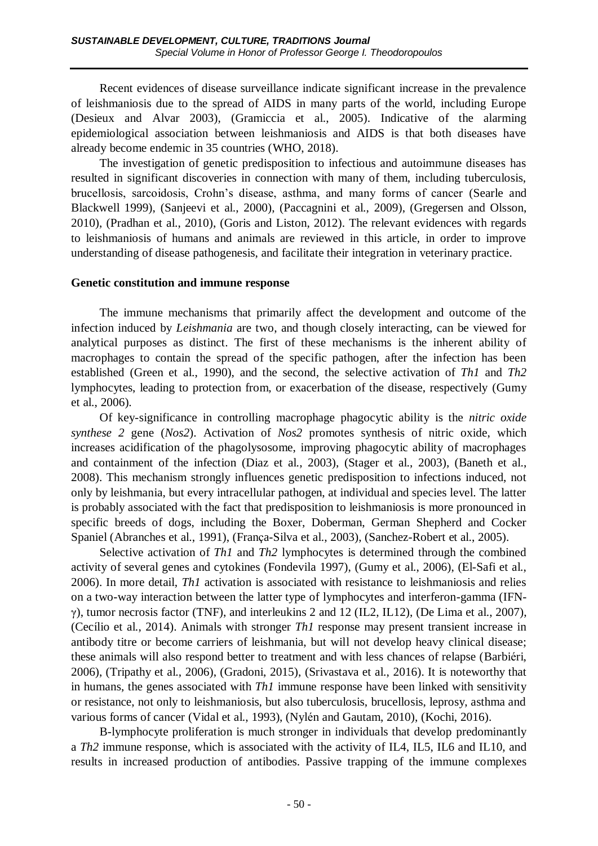Recent evidences of disease surveillance indicate significant increase in the prevalence of leishmaniosis due to the spread of AIDS in many parts of the world, including Europe (Desieux and Alvar 2003), (Gramiccia et al., 2005). Indicative of the alarming epidemiological association between leishmaniosis and AIDS is that both diseases have already become endemic in 35 countries (WHO, 2018).

The investigation of genetic predisposition to infectious and autoimmune diseases has resulted in significant discoveries in connection with many of them, including tuberculosis, brucellosis, sarcoidosis, Crohn's disease, asthma, and many forms of cancer (Searle and Blackwell 1999), (Sanjeevi et al., 2000), (Paccagnini et al., 2009), (Gregersen and Olsson, 2010), (Pradhan et al., 2010), (Goris and Liston, 2012). The relevant evidences with regards to leishmaniosis of humans and animals are reviewed in this article, in order to improve understanding of disease pathogenesis, and facilitate their integration in veterinary practice.

#### **Genetic constitution and immune response**

The immune mechanisms that primarily affect the development and outcome of the infection induced by *Leishmania* are two, and though closely interacting, can be viewed for analytical purposes as distinct. The first of these mechanisms is the inherent ability of macrophages to contain the spread of the specific pathogen, after the infection has been established (Green et al., 1990), and the second, the selective activation of *Th1* and *Th2* lymphocytes, leading to protection from, or exacerbation of the disease, respectively (Gumy et al., 2006).

Of key-significance in controlling macrophage phagocytic ability is the *nitric oxide synthese 2* gene (*Nos2*). Activation of *Nos2* promotes synthesis of nitric oxide, which increases acidification of the phagolysosome, improving phagocytic ability of macrophages and containment of the infection (Diaz et al., 2003), (Stager et al., 2003), (Baneth et al., 2008). This mechanism strongly influences genetic predisposition to infections induced, not only by leishmania, but every intracellular pathogen, at individual and species level. The latter is probably associated with the fact that predisposition to leishmaniosis is more pronounced in specific breeds of dogs, including the Boxer, Doberman, German Shepherd and Cocker Spaniel (Abranches et al., 1991), (França-Silva et al., 2003), (Sanchez-Robert et al., 2005).

Selective activation of *Th1* and *Th2* lymphocytes is determined through the combined activity of several genes and cytokines (Fondevila 1997), (Gumy et al., 2006), (El-Safi et al., 2006). In more detail, *Th1* activation is associated with resistance to leishmaniosis and relies on a two-way interaction between the latter type of lymphocytes and interferon-gamma (IFNγ), tumor necrosis factor (TNF), and interleukins 2 and 12 (IL2, IL12), (De Lima et al., 2007), (Cecílio et al., 2014). Animals with stronger *Th1* response may present transient increase in antibody titre or become carriers of leishmania, but will not develop heavy clinical disease; these animals will also respond better to treatment and with less chances of relapse (Barbiéri, 2006), (Tripathy et al., 2006), (Gradoni, 2015), (Srivastava et al., 2016). It is noteworthy that in humans, the genes associated with *Th1* immune response have been linked with sensitivity or resistance, not only to leishmaniosis, but also tuberculosis, brucellosis, leprosy, asthma and various forms of cancer (Vidal et al., 1993), (Nylén and Gautam, 2010), (Kochi, 2016).

B-lymphocyte proliferation is much stronger in individuals that develop predominantly a *Th2* immune response, which is associated with the activity of IL4, IL5, IL6 and IL10, and results in increased production of antibodies. Passive trapping of the immune complexes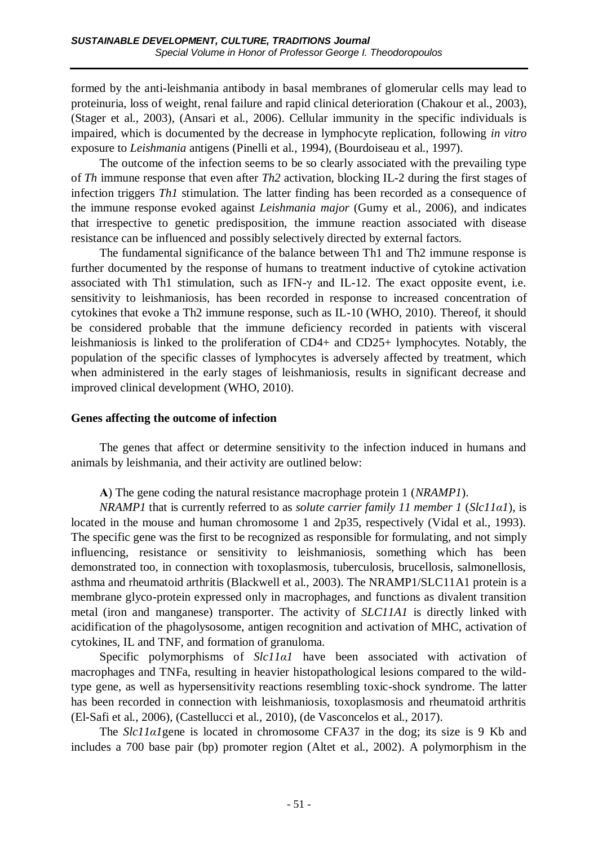formed by the anti-leishmania antibody in basal membranes of glomerular cells may lead to proteinuria, loss of weight, renal failure and rapid clinical deterioration (Chakour et al., 2003), (Stager et al., 2003), (Ansari et al., 2006). Cellular immunity in the specific individuals is impaired, which is documented by the decrease in lymphocyte replication, following *in vitro* exposure to *Leishmania* antigens (Pinelli et al., 1994), (Bourdoiseau et al., 1997).

The outcome of the infection seems to be so clearly associated with the prevailing type of *Th* immune response that even after *Th2* activation, blocking IL-2 during the first stages of infection triggers *Th1* stimulation. The latter finding has been recorded as a consequence of the immune response evoked against *Leishmania major* (Gumy et al., 2006), and indicates that irrespective to genetic predisposition, the immune reaction associated with disease resistance can be influenced and possibly selectively directed by external factors.

The fundamental significance of the balance between Th1 and Th2 immune response is further documented by the response of humans to treatment inductive of cytokine activation associated with Th1 stimulation, such as IFN-γ and IL-12. The exact opposite event, i.e. sensitivity to leishmaniosis, has been recorded in response to increased concentration of cytokines that evoke a Th2 immune response, such as IL-10 (WHO, 2010). Thereof, it should be considered probable that the immune deficiency recorded in patients with visceral leishmaniosis is linked to the proliferation of CD4+ and CD25+ lymphocytes. Notably, the population of the specific classes of lymphocytes is adversely affected by treatment, which when administered in the early stages of leishmaniosis, results in significant decrease and improved clinical development (WHO, 2010).

### **Genes affecting the outcome of infection**

The genes that affect or determine sensitivity to the infection induced in humans and animals by leishmania, and their activity are outlined below:

**Α**) The gene coding the natural resistance macrophage protein 1 (*NRAMP1*).

*NRAMP1* that is currently referred to as *solute carrier family 11 member 1* (*Slc11α1*), is located in the mouse and human chromosome 1 and 2p35, respectively (Vidal et al., 1993). The specific gene was the first to be recognized as responsible for formulating, and not simply influencing, resistance or sensitivity to leishmaniosis, something which has been demonstrated too, in connection with toxoplasmosis, tuberculosis, brucellosis, salmonellosis, asthma and rheumatoid arthritis (Blackwell et al., 2003). The NRAMP1/SLC11A1 protein is a membrane glyco-protein expressed only in macrophages, and functions as divalent transition metal (iron and manganese) transporter. The activity of *SLC11A1* is directly linked with acidification of the phagolysosome, antigen recognition and activation of MHC, activation of cytokines, IL and TNF, and formation of granuloma.

Specific polymorphisms of *Slc11a1* have been associated with activation of macrophages and TNFa, resulting in heavier histopathological lesions compared to the wildtype gene, as well as hypersensitivity reactions resembling toxic-shock syndrome. The latter has been recorded in connection with leishmaniosis, toxoplasmosis and rheumatoid arthritis (El-Safi et al., 2006), (Castellucci et al., 2010), (de Vasconcelos et al., 2017).

The *Slc11a1*gene is located in chromosome CFA37 in the dog; its size is 9 Kb and includes a 700 base pair (bp) promoter region (Altet et al., 2002). A polymorphism in the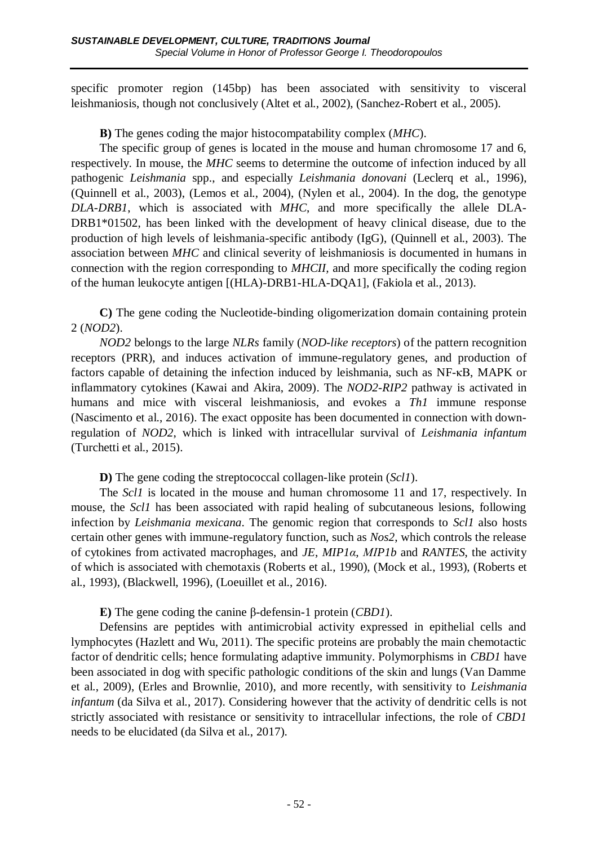specific promoter region (145bp) has been associated with sensitivity to visceral leishmaniosis, though not conclusively (Altet et al., 2002), (Sanchez-Robert et al., 2005).

**Β)** The genes coding the major histocompatability complex (*MHC*).

The specific group of genes is located in the mouse and human chromosome 17 and 6, respectively. In mouse, the *MHC* seems to determine the outcome of infection induced by all pathogenic *Leishmania* spp., and especially *Leishmania donovani* (Leclerq et al., 1996), (Quinnell et al., 2003), (Lemos et al., 2004), (Nylen et al., 2004). In the dog, the genotype *DLA-DRB1*, which is associated with *MHC*, and more specifically the allele DLA-DRB1\*01502, has been linked with the development of heavy clinical disease, due to the production of high levels of leishmania-specific antibody (IgG), (Quinnell et al., 2003). The association between *MHC* and clinical severity of leishmaniosis is documented in humans in connection with the region corresponding to *MHCII,* and more specifically the coding region of the human leukocyte antigen [(HLA)-DRB1-HLA-DQA1], (Fakiola et al., 2013).

**C)** The gene coding the Νucleotide-binding oligomerization domain containing protein 2 (*NOD2*).

*NOD2* belongs to the large *NLRs* family (*NOD-like receptors*) of the pattern recognition receptors (PRR), and induces activation of immune-regulatory genes, and production of factors capable of detaining the infection induced by leishmania, such as NF-κΒ, MAPK or inflammatory cytokines (Kawai and Akira, 2009). The *NOD2-RIP2* pathway is activated in humans and mice with visceral leishmaniosis, and evokes a *Th1* immune response (Nascimento et al., 2016). The exact opposite has been documented in connection with downregulation of *NOD2*, which is linked with intracellular survival of *Leishmania infantum* (Turchetti et al., 2015).

**D)** The gene coding the streptococcal collagen-like protein (*Scl1*).

The *Scl1* is located in the mouse and human chromosome 11 and 17, respectively. In mouse, the *Scl1* has been associated with rapid healing of subcutaneous lesions, following infection by *Leishmania mexicana*. The genomic region that corresponds to *Scl1* also hosts certain other genes with immune-regulatory function, such as *Nos2*, which controls the release of cytokines from activated macrophages, and *JE*, *MIP1α*, *ΜΙP1b* and *RANTES*, the activity of which is associated with chemotaxis (Roberts et al., 1990), (Mock et al., 1993), (Roberts et al., 1993), (Blackwell, 1996), (Loeuillet et al., 2016).

**Ε)** The gene coding the canine β-defensin-1 protein (*CBD1*).

Defensins are peptides with antimicrobial activity expressed in epithelial cells and lymphocytes (Hazlett and Wu, 2011). The specific proteins are probably the main chemotactic factor of dendritic cells; hence formulating adaptive immunity. Polymorphisms in *CBD1* have been associated in dog with specific pathologic conditions of the skin and lungs (Van Damme et al., 2009), (Erles and Brownlie, 2010), and more recently, with sensitivity to *Leishmania infantum* (da Silva et al., 2017). Considering however that the activity of dendritic cells is not strictly associated with resistance or sensitivity to intracellular infections, the role of *CBD1*  needs to be elucidated (da Silva et al., 2017).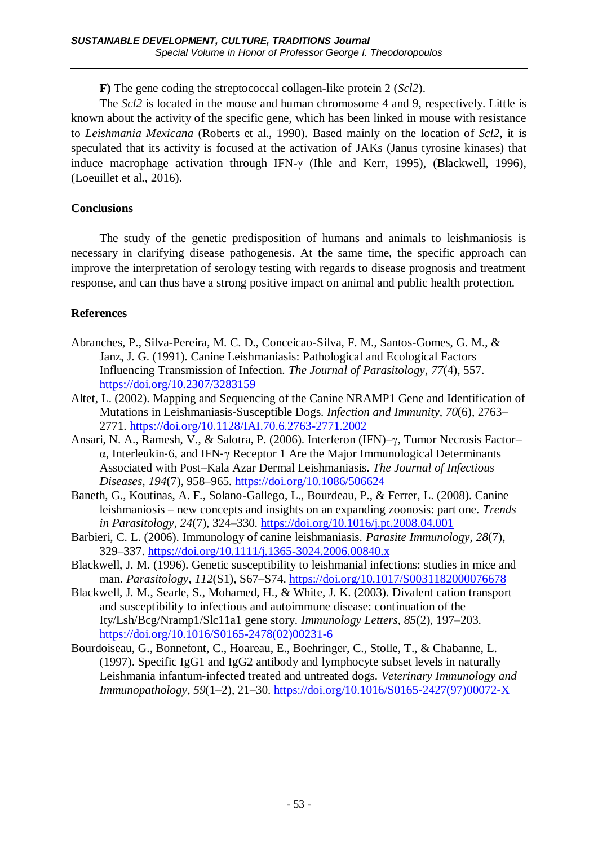**F)** The gene coding the streptococcal collagen-like protein 2 (*Scl2*).

The *Scl2* is located in the mouse and human chromosome 4 and 9, respectively. Little is known about the activity of the specific gene, which has been linked in mouse with resistance to *Leishmania Mexicana* (Roberts et al., 1990). Based mainly on the location of *Scl2*, it is speculated that its activity is focused at the activation of JAKs (Janus tyrosine kinases) that induce macrophage activation through IFN-γ (Ihle and Kerr, 1995), (Blackwell, 1996), (Loeuillet et al., 2016).

# **Conclusions**

The study of the genetic predisposition of humans and animals to leishmaniosis is necessary in clarifying disease pathogenesis. At the same time, the specific approach can improve the interpretation of serology testing with regards to disease prognosis and treatment response, and can thus have a strong positive impact on animal and public health protection.

# **References**

- Abranches, P., Silva-Pereira, M. C. D., Conceicao-Silva, F. M., Santos-Gomes, G. M., & Janz, J. G. (1991). Canine Leishmaniasis: Pathological and Ecological Factors Influencing Transmission of Infection. *The Journal of Parasitology*, *77*(4), 557. <https://doi.org/10.2307/3283159>
- Altet, L. (2002). Mapping and Sequencing of the Canine NRAMP1 Gene and Identification of Mutations in Leishmaniasis-Susceptible Dogs. *Infection and Immunity*, *70*(6), 2763– 2771.<https://doi.org/10.1128/IAI.70.6.2763-2771.2002>
- Ansari, N. A., Ramesh, V., & Salotra, P. (2006). Interferon (IFN)–γ, Tumor Necrosis Factor– α, Interleukin‐6, and IFN‐γ Receptor 1 Are the Major Immunological Determinants Associated with Post–Kala Azar Dermal Leishmaniasis. *The Journal of Infectious Diseases*, *194*(7), 958–965.<https://doi.org/10.1086/506624>
- Baneth, G., Koutinas, A. F., Solano-Gallego, L., Bourdeau, P., & Ferrer, L. (2008). Canine leishmaniosis – new concepts and insights on an expanding zoonosis: part one. *Trends in Parasitology*, *24*(7), 324–330.<https://doi.org/10.1016/j.pt.2008.04.001>
- Barbieri, C. L. (2006). Immunology of canine leishmaniasis. *Parasite Immunology*, *28*(7), 329–337.<https://doi.org/10.1111/j.1365-3024.2006.00840.x>
- Blackwell, J. M. (1996). Genetic susceptibility to leishmanial infections: studies in mice and man. *Parasitology*, *112*(S1), S67–S74.<https://doi.org/10.1017/S0031182000076678>
- Blackwell, J. M., Searle, S., Mohamed, H., & White, J. K. (2003). Divalent cation transport and susceptibility to infectious and autoimmune disease: continuation of the Ity/Lsh/Bcg/Nramp1/Slc11a1 gene story. *Immunology Letters*, *85*(2), 197–203. [https://doi.org/10.1016/S0165-2478\(02\)00231-6](https://doi.org/10.1016/S0165-2478(02)00231-6)
- Bourdoiseau, G., Bonnefont, C., Hoareau, E., Boehringer, C., Stolle, T., & Chabanne, L. (1997). Specific IgG1 and IgG2 antibody and lymphocyte subset levels in naturally Leishmania infantum-infected treated and untreated dogs. *Veterinary Immunology and Immunopathology*, *59*(1–2), 21–30. [https://doi.org/10.1016/S0165-2427\(97\)00072-X](https://doi.org/10.1016/S0165-2427(97)00072-X)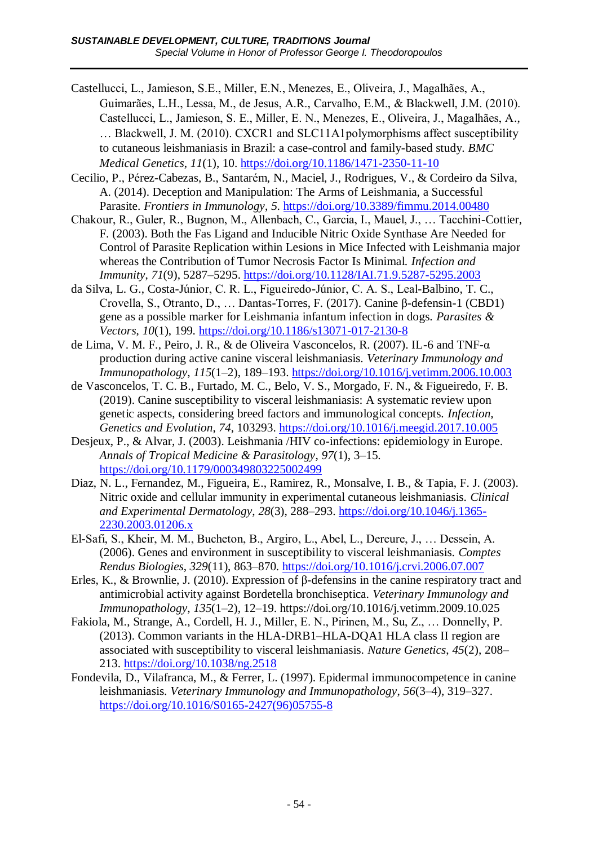- Castellucci, L., Jamieson, S.E., Miller, E.N., Menezes, E., Oliveira, J., Magalhães, A., Guimarães, L.H., Lessa, M., de Jesus, A.R., Carvalho, E.M., & Blackwell, J.M. (2010). Castellucci, L., Jamieson, S. E., Miller, E. N., Menezes, E., Oliveira, J., Magalhães, A., … Blackwell, J. M. (2010). CXCR1 and SLC11A1polymorphisms affect susceptibility to cutaneous leishmaniasis in Brazil: a case-control and family-based study. *BMC Medical Genetics*, *11*(1), 10.<https://doi.org/10.1186/1471-2350-11-10>
- Cecilio, P., Pérez-Cabezas, B., Santarém, N., Maciel, J., Rodrigues, V., & Cordeiro da Silva, A. (2014). Deception and Manipulation: The Arms of Leishmania, a Successful Parasite. *Frontiers in Immunology*, *5*.<https://doi.org/10.3389/fimmu.2014.00480>
- Chakour, R., Guler, R., Bugnon, M., Allenbach, C., Garcia, I., Mauel, J., … Tacchini-Cottier, F. (2003). Both the Fas Ligand and Inducible Nitric Oxide Synthase Are Needed for Control of Parasite Replication within Lesions in Mice Infected with Leishmania major whereas the Contribution of Tumor Necrosis Factor Is Minimal. *Infection and Immunity*, *71*(9), 5287–5295.<https://doi.org/10.1128/IAI.71.9.5287-5295.2003>
- da Silva, L. G., Costa-Júnior, C. R. L., Figueiredo-Júnior, C. A. S., Leal-Balbino, T. C., Crovella, S., Otranto, D., … Dantas-Torres, F. (2017). Canine β-defensin-1 (CBD1) gene as a possible marker for Leishmania infantum infection in dogs. *Parasites & Vectors*, *10*(1), 199.<https://doi.org/10.1186/s13071-017-2130-8>
- de Lima, V. M. F., Peiro, J. R., & de Oliveira Vasconcelos, R. (2007). IL-6 and TNF-α production during active canine visceral leishmaniasis. *Veterinary Immunology and Immunopathology*, *115*(1–2), 189–193.<https://doi.org/10.1016/j.vetimm.2006.10.003>
- de Vasconcelos, T. C. B., Furtado, M. C., Belo, V. S., Morgado, F. N., & Figueiredo, F. B. (2019). Canine susceptibility to visceral leishmaniasis: A systematic review upon genetic aspects, considering breed factors and immunological concepts. *Infection, Genetics and Evolution*, *74*, 103293.<https://doi.org/10.1016/j.meegid.2017.10.005>
- Desjeux, P., & Alvar, J. (2003). Leishmania /HIV co-infections: epidemiology in Europe. *Annals of Tropical Medicine & Parasitology*, *97*(1), 3–15. <https://doi.org/10.1179/000349803225002499>
- Diaz, N. L., Fernandez, M., Figueira, E., Ramirez, R., Monsalve, I. B., & Tapia, F. J. (2003). Nitric oxide and cellular immunity in experimental cutaneous leishmaniasis. *Clinical and Experimental Dermatology*, *28*(3), 288–293. [https://doi.org/10.1046/j.1365-](https://doi.org/10.1046/j.1365-2230.2003.01206.x) [2230.2003.01206.x](https://doi.org/10.1046/j.1365-2230.2003.01206.x)
- El-Safi, S., Kheir, M. M., Bucheton, B., Argiro, L., Abel, L., Dereure, J., … Dessein, A. (2006). Genes and environment in susceptibility to visceral leishmaniasis. *Comptes Rendus Biologies*, *329*(11), 863–870.<https://doi.org/10.1016/j.crvi.2006.07.007>
- Erles, K., & Brownlie, J. (2010). Expression of β-defensins in the canine respiratory tract and antimicrobial activity against Bordetella bronchiseptica. *Veterinary Immunology and Immunopathology*, *135*(1–2), 12–19. https://doi.org/10.1016/j.vetimm.2009.10.025
- Fakiola, M., Strange, A., Cordell, H. J., Miller, E. N., Pirinen, M., Su, Z., … Donnelly, P. (2013). Common variants in the HLA-DRB1–HLA-DQA1 HLA class II region are associated with susceptibility to visceral leishmaniasis. *Nature Genetics*, *45*(2), 208– 213.<https://doi.org/10.1038/ng.2518>
- Fondevila, D., Vilafranca, M., & Ferrer, L. (1997). Epidermal immunocompetence in canine leishmaniasis. *Veterinary Immunology and Immunopathology*, *56*(3–4), 319–327. [https://doi.org/10.1016/S0165-2427\(96\)05755-8](https://doi.org/10.1016/S0165-2427(96)05755-8)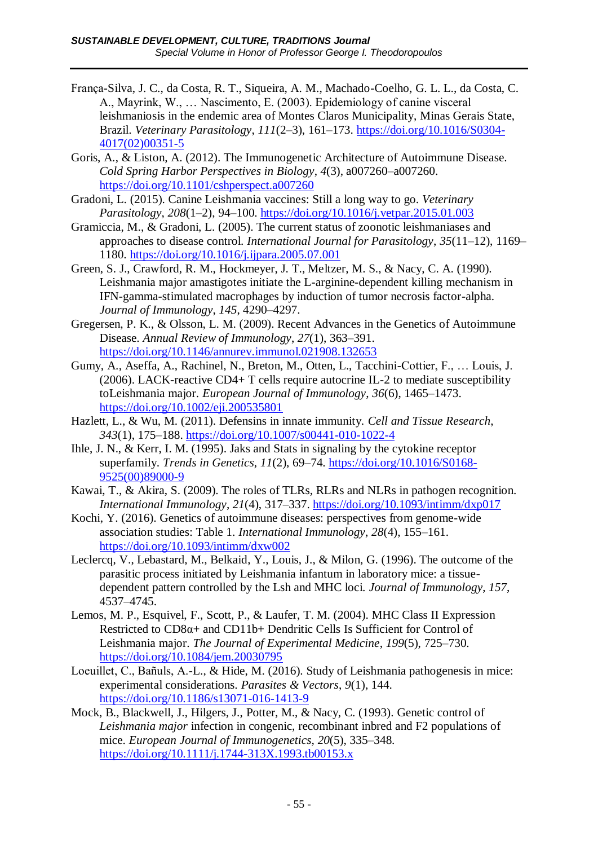- França-Silva, J. C., da Costa, R. T., Siqueira, A. M., Machado-Coelho, G. L. L., da Costa, C. A., Mayrink, W., … Nascimento, E. (2003). Epidemiology of canine visceral leishmaniosis in the endemic area of Montes Claros Municipality, Minas Gerais State, Brazil. *Veterinary Parasitology*, *111*(2–3), 161–173. [https://doi.org/10.1016/S0304-](https://doi.org/10.1016/S0304-4017(02)00351-5) [4017\(02\)00351-5](https://doi.org/10.1016/S0304-4017(02)00351-5)
- Goris, A., & Liston, A. (2012). The Immunogenetic Architecture of Autoimmune Disease. *Cold Spring Harbor Perspectives in Biology*, *4*(3), a007260–a007260. <https://doi.org/10.1101/cshperspect.a007260>
- Gradoni, L. (2015). Canine Leishmania vaccines: Still a long way to go. *Veterinary Parasitology*, *208*(1–2), 94–100.<https://doi.org/10.1016/j.vetpar.2015.01.003>
- Gramiccia, M., & Gradoni, L. (2005). The current status of zoonotic leishmaniases and approaches to disease control. *International Journal for Parasitology*, *35*(11–12), 1169– 1180.<https://doi.org/10.1016/j.ijpara.2005.07.001>
- Green, S. J., Crawford, R. M., Hockmeyer, J. T., Meltzer, M. S., & Nacy, C. A. (1990). Leishmania major amastigotes initiate the L-arginine-dependent killing mechanism in IFN-gamma-stimulated macrophages by induction of tumor necrosis factor-alpha. *Journal of Immunology*, *145*, 4290–4297.
- Gregersen, P. K., & Olsson, L. M. (2009). Recent Advances in the Genetics of Autoimmune Disease. *Annual Review of Immunology*, *27*(1), 363–391. <https://doi.org/10.1146/annurev.immunol.021908.132653>
- Gumy, A., Aseffa, A., Rachinel, N., Breton, M., Otten, L., Tacchini-Cottier, F., … Louis, J. (2006). LACK-reactive CD4+ T cells require autocrine IL-2 to mediate susceptibility toLeishmania major. *European Journal of Immunology*, *36*(6), 1465–1473. <https://doi.org/10.1002/eji.200535801>
- Hazlett, L., & Wu, M. (2011). Defensins in innate immunity. *Cell and Tissue Research*, *343*(1), 175–188.<https://doi.org/10.1007/s00441-010-1022-4>
- Ihle, J. N., & Kerr, I. M. (1995). Jaks and Stats in signaling by the cytokine receptor superfamily. *Trends in Genetics*, *11*(2), 69–74. [https://doi.org/10.1016/S0168-](https://doi.org/10.1016/S0168-9525(00)89000-9) [9525\(00\)89000-9](https://doi.org/10.1016/S0168-9525(00)89000-9)
- Kawai, T., & Akira, S. (2009). The roles of TLRs, RLRs and NLRs in pathogen recognition. *International Immunology*, *21*(4), 317–337.<https://doi.org/10.1093/intimm/dxp017>
- Kochi, Y. (2016). Genetics of autoimmune diseases: perspectives from genome-wide association studies: Table 1. *International Immunology*, *28*(4), 155–161. <https://doi.org/10.1093/intimm/dxw002>
- Leclercq, V., Lebastard, M., Belkaid, Y., Louis, J., & Milon, G. (1996). The outcome of the parasitic process initiated by Leishmania infantum in laboratory mice: a tissuedependent pattern controlled by the Lsh and MHC loci. *Journal of Immunology*, *157*, 4537–4745.
- Lemos, M. P., Esquivel, F., Scott, P., & Laufer, T. M. (2004). MHC Class II Expression Restricted to CD8α+ and CD11b+ Dendritic Cells Is Sufficient for Control of Leishmania major. *The Journal of Experimental Medicine*, *199*(5), 725–730. <https://doi.org/10.1084/jem.20030795>
- Loeuillet, C., Bañuls, A.-L., & Hide, M. (2016). Study of Leishmania pathogenesis in mice: experimental considerations. *Parasites & Vectors*, *9*(1), 144. <https://doi.org/10.1186/s13071-016-1413-9>
- Mock, B., Blackwell, J., Hilgers, J., Potter, M., & Nacy, C. (1993). Genetic control of *Leishmania major* infection in congenic, recombinant inbred and F2 populations of mice. *European Journal of Immunogenetics*, *20*(5), 335–348. <https://doi.org/10.1111/j.1744-313X.1993.tb00153.x>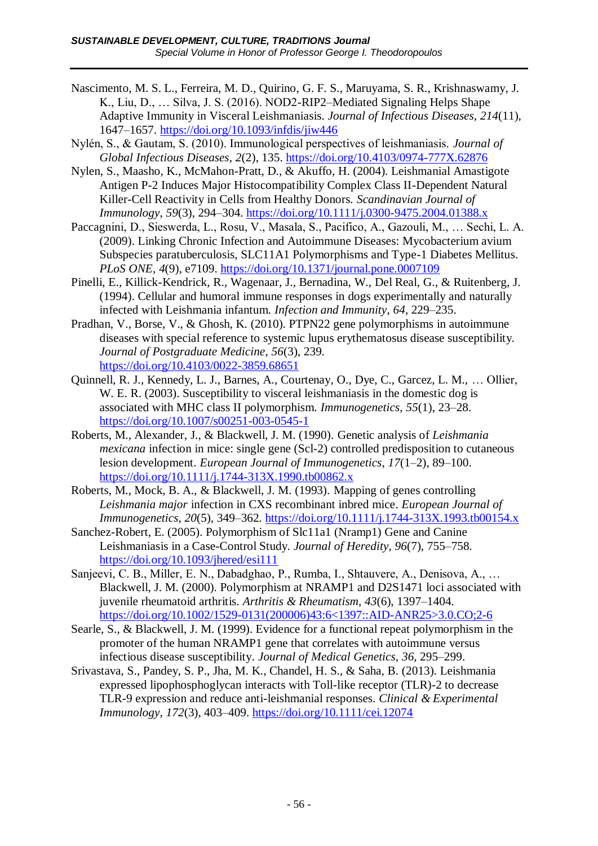- Nascimento, M. S. L., Ferreira, M. D., Quirino, G. F. S., Maruyama, S. R., Krishnaswamy, J. K., Liu, D., … Silva, J. S. (2016). NOD2-RIP2–Mediated Signaling Helps Shape Adaptive Immunity in Visceral Leishmaniasis. *Journal of Infectious Diseases*, *214*(11), 1647–1657.<https://doi.org/10.1093/infdis/jiw446>
- Nylén, S., & Gautam, S. (2010). Immunological perspectives of leishmaniasis. *Journal of Global Infectious Diseases*, *2*(2), 135.<https://doi.org/10.4103/0974-777X.62876>
- Nylen, S., Maasho, K., McMahon-Pratt, D., & Akuffo, H. (2004). Leishmanial Amastigote Antigen P-2 Induces Major Histocompatibility Complex Class II-Dependent Natural Killer-Cell Reactivity in Cells from Healthy Donors. *Scandinavian Journal of Immunology*, *59*(3), 294–304.<https://doi.org/10.1111/j.0300-9475.2004.01388.x>
- Paccagnini, D., Sieswerda, L., Rosu, V., Masala, S., Pacifico, A., Gazouli, M., … Sechi, L. A. (2009). Linking Chronic Infection and Autoimmune Diseases: Mycobacterium avium Subspecies paratuberculosis, SLC11A1 Polymorphisms and Type-1 Diabetes Mellitus. *PLoS ONE*, *4*(9), e7109.<https://doi.org/10.1371/journal.pone.0007109>
- Pinelli, E., Killick-Kendrick, R., Wagenaar, J., Bernadina, W., Del Real, G., & Ruitenberg, J. (1994). Cellular and humoral immune responses in dogs experimentally and naturally infected with Leishmania infantum. *Infection and Immunity*, *64*, 229–235.
- Pradhan, V., Borse, V., & Ghosh, K. (2010). PTPN22 gene polymorphisms in autoimmune diseases with special reference to systemic lupus erythematosus disease susceptibility. *Journal of Postgraduate Medicine*, *56*(3), 239. <https://doi.org/10.4103/0022-3859.68651>
- Quinnell, R. J., Kennedy, L. J., Barnes, A., Courtenay, O., Dye, C., Garcez, L. M., … Ollier, W. E. R. (2003). Susceptibility to visceral leishmaniasis in the domestic dog is associated with MHC class II polymorphism. *Immunogenetics*, *55*(1), 23–28. <https://doi.org/10.1007/s00251-003-0545-1>
- Roberts, M., Alexander, J., & Blackwell, J. M. (1990). Genetic analysis of *Leishmania mexicana* infection in mice: single gene (Scl-2) controlled predisposition to cutaneous lesion development. *European Journal of Immunogenetics*, *17*(1–2), 89–100. <https://doi.org/10.1111/j.1744-313X.1990.tb00862.x>
- Roberts, M., Mock, B. A., & Blackwell, J. M. (1993). Mapping of genes controlling *Leishmania major* infection in CXS recombinant inbred mice. *European Journal of Immunogenetics*, *20*(5), 349–362.<https://doi.org/10.1111/j.1744-313X.1993.tb00154.x>
- Sanchez-Robert, E. (2005). Polymorphism of Slc11a1 (Nramp1) Gene and Canine Leishmaniasis in a Case-Control Study. *Journal of Heredity*, *96*(7), 755–758. <https://doi.org/10.1093/jhered/esi111>
- Sanjeevi, C. B., Miller, E. N., Dabadghao, P., Rumba, I., Shtauvere, A., Denisova, A., … Blackwell, J. M. (2000). Polymorphism at NRAMP1 and D2S1471 loci associated with juvenile rheumatoid arthritis. *Arthritis & Rheumatism*, *43*(6), 1397–1404. [https://doi.org/10.1002/1529-0131\(200006\)43:6<1397::AID-ANR25>3.0.CO;2-6](https://doi.org/10.1002/1529-0131(200006)43:6%3c1397::AID-ANR25%3e3.0.CO;2-6)
- Searle, S., & Blackwell, J. M. (1999). Evidence for a functional repeat polymorphism in the promoter of the human NRAMP1 gene that correlates with autoimmune versus infectious disease susceptibility. *Journal of Medical Genetics*, *36*, 295–299.
- Srivastava, S., Pandey, S. P., Jha, M. K., Chandel, H. S., & Saha, B. (2013). Leishmania expressed lipophosphoglycan interacts with Toll-like receptor (TLR)-2 to decrease TLR-9 expression and reduce anti-leishmanial responses. *Clinical & Experimental Immunology*, *172*(3), 403–409.<https://doi.org/10.1111/cei.12074>